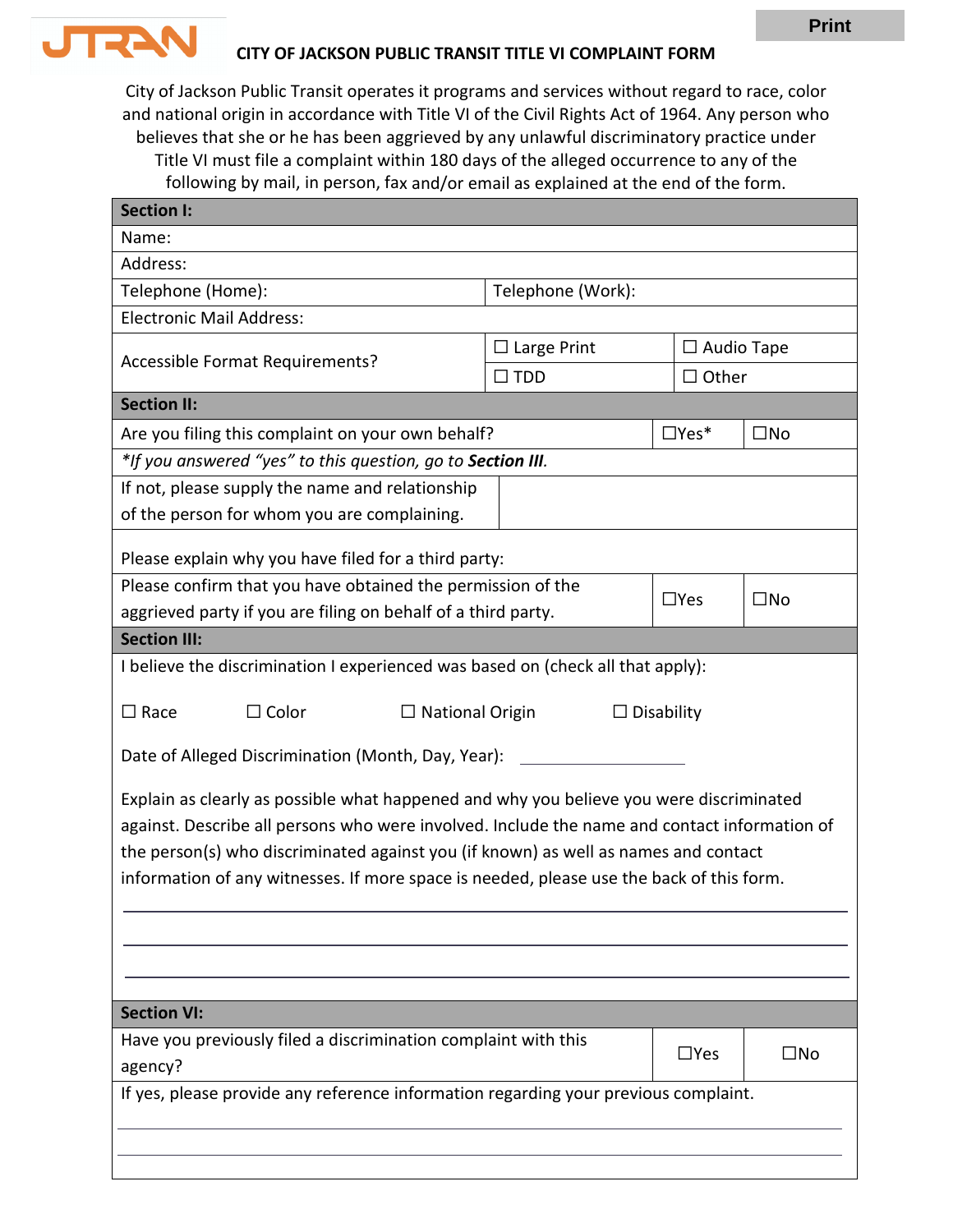

## **CITY OF JACKSON PUBLIC TRANSIT TITLE VI COMPLAINT FORM**

City of Jackson Public Transit operates it programs and services without regard to race, color and national origin in accordance with Title VI of the Civil Rights Act of 1964. Any person who believes that she or he has been aggrieved by any unlawful discriminatory practice under Title VI must file a complaint within 180 days of the alleged occurrence to any of the following by mail, in person, fax and/or email as explained at the end of the form.

| <b>Section I:</b>                                                                            |                                             |                   |              |  |  |
|----------------------------------------------------------------------------------------------|---------------------------------------------|-------------------|--------------|--|--|
| Name:                                                                                        |                                             |                   |              |  |  |
| Address:                                                                                     |                                             |                   |              |  |  |
| Telephone (Home):                                                                            | Telephone (Work):                           |                   |              |  |  |
| <b>Electronic Mail Address:</b>                                                              |                                             |                   |              |  |  |
|                                                                                              | $\Box$ Large Print                          | $\Box$ Audio Tape |              |  |  |
| Accessible Format Requirements?                                                              | $\square$ TDD                               |                   | $\Box$ Other |  |  |
| <b>Section II:</b>                                                                           |                                             |                   |              |  |  |
| Are you filing this complaint on your own behalf?                                            |                                             | $\Box$ Yes*       | $\square$ No |  |  |
| *If you answered "yes" to this question, go to Section III.                                  |                                             |                   |              |  |  |
| If not, please supply the name and relationship                                              |                                             |                   |              |  |  |
| of the person for whom you are complaining.                                                  |                                             |                   |              |  |  |
|                                                                                              |                                             |                   |              |  |  |
| Please explain why you have filed for a third party:                                         |                                             |                   |              |  |  |
| Please confirm that you have obtained the permission of the                                  |                                             | $\Box$ Yes        | $\square$ No |  |  |
| aggrieved party if you are filing on behalf of a third party.                                |                                             |                   |              |  |  |
| <b>Section III:</b>                                                                          |                                             |                   |              |  |  |
| I believe the discrimination I experienced was based on (check all that apply):              |                                             |                   |              |  |  |
| $\Box$ Color<br>$\Box$ Race                                                                  | $\Box$ National Origin<br>$\Box$ Disability |                   |              |  |  |
| Date of Alleged Discrimination (Month, Day, Year): ______                                    |                                             |                   |              |  |  |
| Explain as clearly as possible what happened and why you believe you were discriminated      |                                             |                   |              |  |  |
| against. Describe all persons who were involved. Include the name and contact information of |                                             |                   |              |  |  |
| the person(s) who discriminated against you (if known) as well as names and contact          |                                             |                   |              |  |  |
| information of any witnesses. If more space is needed, please use the back of this form.     |                                             |                   |              |  |  |
|                                                                                              |                                             |                   |              |  |  |
|                                                                                              |                                             |                   |              |  |  |
|                                                                                              |                                             |                   |              |  |  |
|                                                                                              |                                             |                   |              |  |  |
| <b>Section VI:</b>                                                                           |                                             |                   |              |  |  |
| Have you previously filed a discrimination complaint with this                               |                                             |                   |              |  |  |
| agency?                                                                                      |                                             | $\Box$ Yes        | $\square$ No |  |  |
| If yes, please provide any reference information regarding your previous complaint.          |                                             |                   |              |  |  |
|                                                                                              |                                             |                   |              |  |  |
|                                                                                              |                                             |                   |              |  |  |
|                                                                                              |                                             |                   |              |  |  |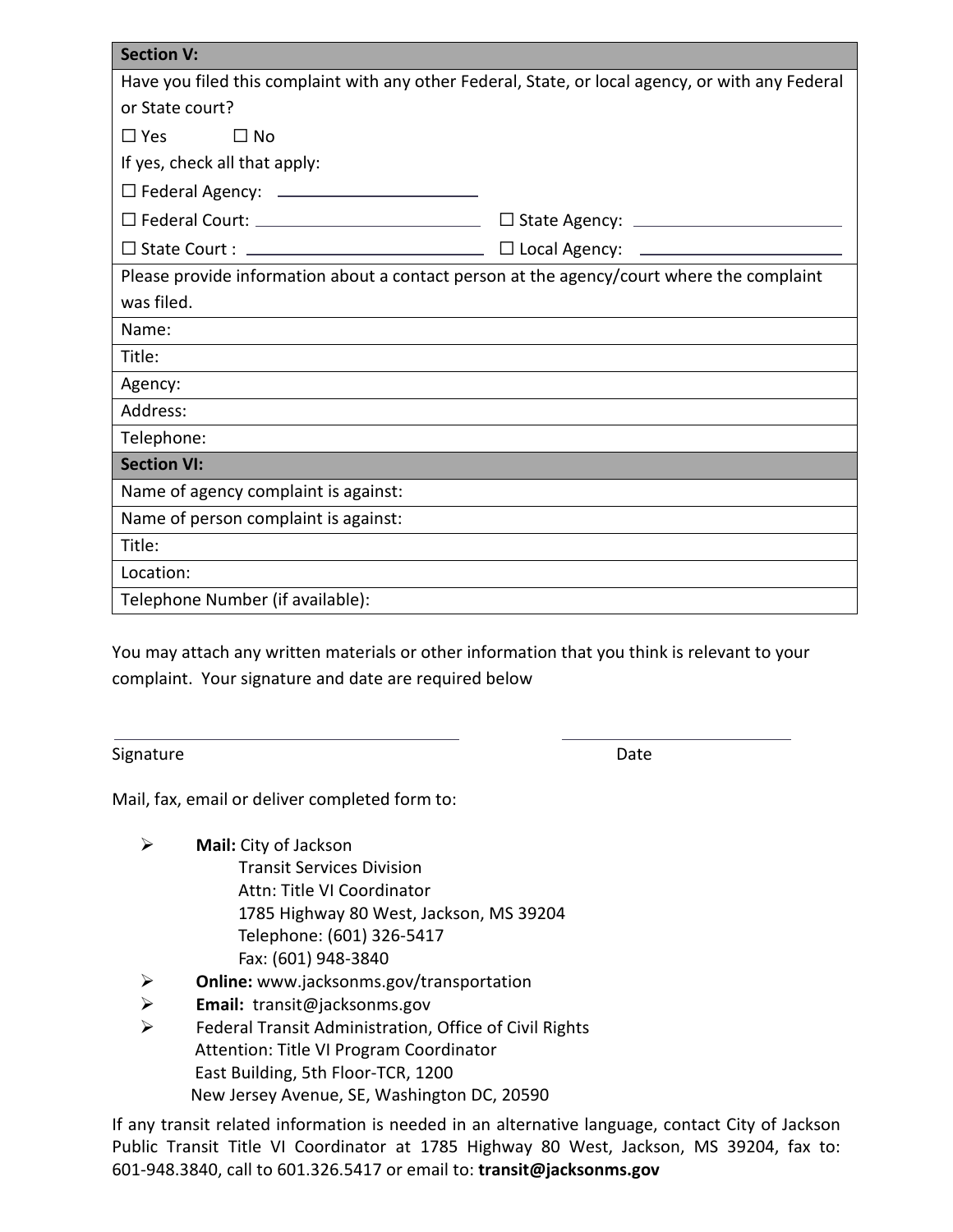| <b>Section V:</b>                                                                                 |  |  |  |  |
|---------------------------------------------------------------------------------------------------|--|--|--|--|
| Have you filed this complaint with any other Federal, State, or local agency, or with any Federal |  |  |  |  |
| or State court?                                                                                   |  |  |  |  |
| $\square$ Yes<br>$\square$ No                                                                     |  |  |  |  |
| If yes, check all that apply:                                                                     |  |  |  |  |
| $\Box$ Federal Agency: ________________________                                                   |  |  |  |  |
|                                                                                                   |  |  |  |  |
|                                                                                                   |  |  |  |  |
| Please provide information about a contact person at the agency/court where the complaint         |  |  |  |  |
| was filed.                                                                                        |  |  |  |  |
| Name:                                                                                             |  |  |  |  |
| Title:                                                                                            |  |  |  |  |
| Agency:                                                                                           |  |  |  |  |
| Address:                                                                                          |  |  |  |  |
| Telephone:                                                                                        |  |  |  |  |
| <b>Section VI:</b>                                                                                |  |  |  |  |
| Name of agency complaint is against:                                                              |  |  |  |  |
| Name of person complaint is against:                                                              |  |  |  |  |
| Title:                                                                                            |  |  |  |  |
| Location:                                                                                         |  |  |  |  |
| Telephone Number (if available):                                                                  |  |  |  |  |

You may attach any written materials or other information that you think is relevant to your complaint. Your signature and date are required below

Signature Date Date

Mail, fax, email or deliver completed form to:

**Mail:** City of Jackson

 Transit Services Division [Attn: Title VI Coordina](mailto:PublicTransit@dutchessny.gov)tor 1785 Highway 80 West, Jackson, MS 39204 Telephone: (601) 326-5417 Fax: (601) 948-3840

- **Online:** [www.jac](mailto:OCR-TitleVI@dot.ny.gov)ksonms.gov/transportation
- **Email:** transit@jacksonms.gov
- Federal Transit Administration, Office of Civil Rights Attention: Title VI Program Coordinator East Building, 5th Floor-TCR, 1200 New Jersey Avenue, SE, Washington DC, 20590

If any transit related information is needed in an alternative language, contact City of Jackson Public Transit Title VI Coordinator at 1785 Highway 80 West, Jackson, MS 39204, fax to: 601-948.3840, call to 601.326.5417 or email to: **transit@jacksonms.gov**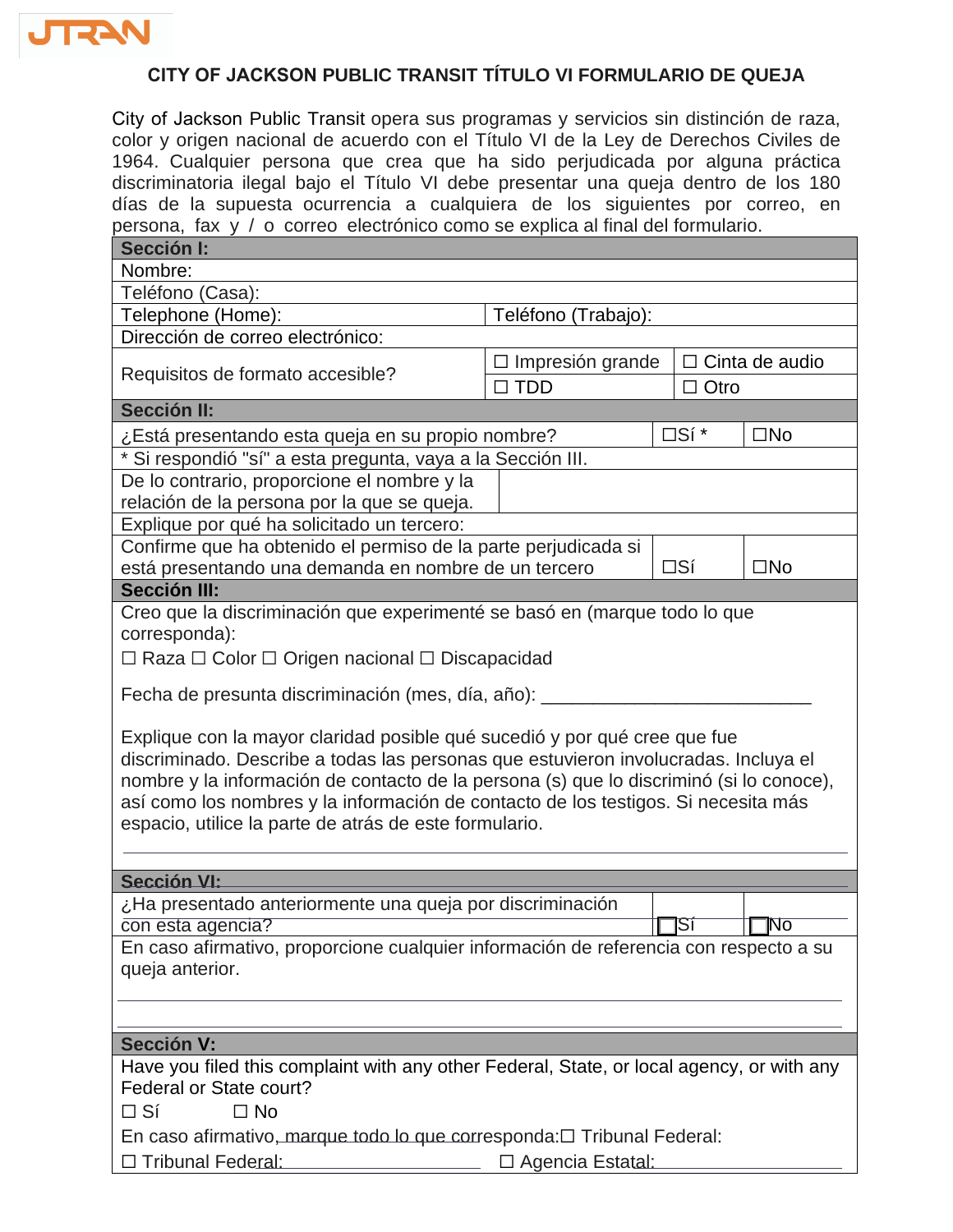

## **CITY OF JACKSON PUBLIC TRANSIT TÍTULO VI FORMULARIO DE QUEJA**

City of Jackson Public Transit opera sus programas y servicios sin distinción de raza, color y origen nacional de acuerdo con el Título VI de la Ley de Derechos Civiles de 1964. Cualquier persona que crea que ha sido perjudicada por alguna práctica discriminatoria ilegal bajo el Título VI debe presentar una queja dentro de los 180 días de la supuesta ocurrencia a cualquiera de los siguientes por correo, en persona, fax y / o correo electrónico como se explica al final del formulario.

| Sección I:                                                                                                                                                                                                                                                                                                                                                                                                  |                                                  |              |              |  |  |
|-------------------------------------------------------------------------------------------------------------------------------------------------------------------------------------------------------------------------------------------------------------------------------------------------------------------------------------------------------------------------------------------------------------|--------------------------------------------------|--------------|--------------|--|--|
| Nombre:                                                                                                                                                                                                                                                                                                                                                                                                     |                                                  |              |              |  |  |
| Teléfono (Casa):                                                                                                                                                                                                                                                                                                                                                                                            |                                                  |              |              |  |  |
| Telephone (Home):                                                                                                                                                                                                                                                                                                                                                                                           | Teléfono (Trabajo):                              |              |              |  |  |
| Dirección de correo electrónico:                                                                                                                                                                                                                                                                                                                                                                            |                                                  |              |              |  |  |
| Requisitos de formato accesible?                                                                                                                                                                                                                                                                                                                                                                            | $\Box$ Impresión grande<br>$\Box$ Cinta de audio |              |              |  |  |
|                                                                                                                                                                                                                                                                                                                                                                                                             | $\Box$ TDD                                       | $\Box$ Otro  |              |  |  |
| <b>Sección II:</b>                                                                                                                                                                                                                                                                                                                                                                                          |                                                  |              |              |  |  |
| ¿Está presentando esta queja en su propio nombre?                                                                                                                                                                                                                                                                                                                                                           | □Sí *<br>$\square$ No                            |              |              |  |  |
| * Si respondió "sí" a esta pregunta, vaya a la Sección III.                                                                                                                                                                                                                                                                                                                                                 |                                                  |              |              |  |  |
| De lo contrario, proporcione el nombre y la                                                                                                                                                                                                                                                                                                                                                                 |                                                  |              |              |  |  |
| relación de la persona por la que se queja.                                                                                                                                                                                                                                                                                                                                                                 |                                                  |              |              |  |  |
| Explique por qué ha solicitado un tercero:                                                                                                                                                                                                                                                                                                                                                                  |                                                  |              |              |  |  |
| Confirme que ha obtenido el permiso de la parte perjudicada si                                                                                                                                                                                                                                                                                                                                              |                                                  |              |              |  |  |
| está presentando una demanda en nombre de un tercero                                                                                                                                                                                                                                                                                                                                                        |                                                  | $\square$ Sí | $\square$ No |  |  |
| <b>Sección III:</b>                                                                                                                                                                                                                                                                                                                                                                                         |                                                  |              |              |  |  |
| Creo que la discriminación que experimenté se basó en (marque todo lo que                                                                                                                                                                                                                                                                                                                                   |                                                  |              |              |  |  |
| corresponda):                                                                                                                                                                                                                                                                                                                                                                                               |                                                  |              |              |  |  |
| □ Raza □ Color □ Origen nacional □ Discapacidad                                                                                                                                                                                                                                                                                                                                                             |                                                  |              |              |  |  |
| Fecha de presunta discriminación (mes, día, año): _____                                                                                                                                                                                                                                                                                                                                                     |                                                  |              |              |  |  |
| Explique con la mayor claridad posible qué sucedió y por qué cree que fue<br>discriminado. Describe a todas las personas que estuvieron involucradas. Incluya el<br>nombre y la información de contacto de la persona (s) que lo discriminó (si lo conoce),<br>así como los nombres y la información de contacto de los testigos. Si necesita más<br>espacio, utilice la parte de atrás de este formulario. |                                                  |              |              |  |  |
| <b>Sección VI:</b>                                                                                                                                                                                                                                                                                                                                                                                          |                                                  |              |              |  |  |
|                                                                                                                                                                                                                                                                                                                                                                                                             |                                                  |              |              |  |  |
| ¿Ha presentado anteriormente una queja por discriminación<br>$\Box$ No<br>con esta agencia?<br>†⊟ऽां                                                                                                                                                                                                                                                                                                        |                                                  |              |              |  |  |
| En caso afirmativo, proporcione cualquier información de referencia con respecto a su                                                                                                                                                                                                                                                                                                                       |                                                  |              |              |  |  |
| queja anterior.                                                                                                                                                                                                                                                                                                                                                                                             |                                                  |              |              |  |  |
|                                                                                                                                                                                                                                                                                                                                                                                                             |                                                  |              |              |  |  |
|                                                                                                                                                                                                                                                                                                                                                                                                             |                                                  |              |              |  |  |
| <b>Sección V:</b>                                                                                                                                                                                                                                                                                                                                                                                           |                                                  |              |              |  |  |
| Have you filed this complaint with any other Federal, State, or local agency, or with any<br>Federal or State court?                                                                                                                                                                                                                                                                                        |                                                  |              |              |  |  |
| $\Box$ No<br>$\square$ Sí                                                                                                                                                                                                                                                                                                                                                                                   |                                                  |              |              |  |  |
| En caso afirmativo, marque todo lo que corresponda: [ Tribunal Federal:                                                                                                                                                                                                                                                                                                                                     |                                                  |              |              |  |  |
| □ Tribunal Federal:                                                                                                                                                                                                                                                                                                                                                                                         | □ Agencia Estatal:                               |              |              |  |  |